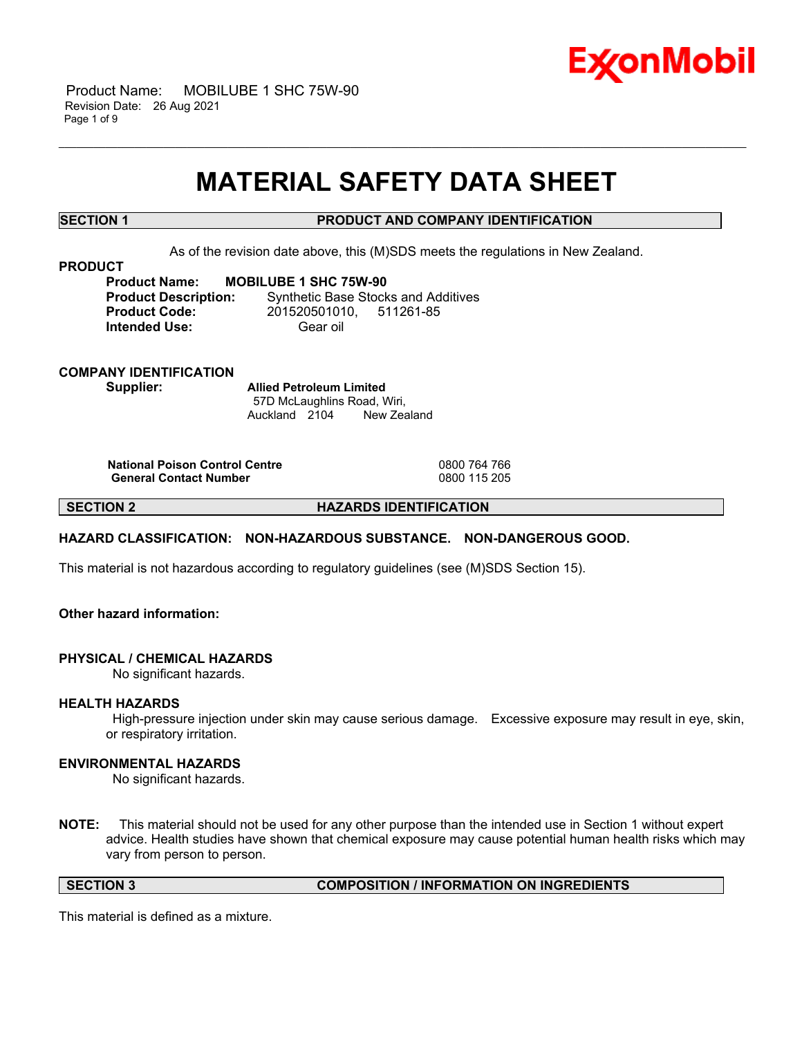

 Product Name: MOBILUBE 1 SHC 75W-90 Revision Date: 26 Aug 2021 Page 1 of 9

## **MATERIAL SAFETY DATA SHEET**

\_\_\_\_\_\_\_\_\_\_\_\_\_\_\_\_\_\_\_\_\_\_\_\_\_\_\_\_\_\_\_\_\_\_\_\_\_\_\_\_\_\_\_\_\_\_\_\_\_\_\_\_\_\_\_\_\_\_\_\_\_\_\_\_\_\_\_\_\_\_\_\_\_\_\_\_\_\_\_\_\_\_\_\_\_\_\_\_\_\_\_\_\_\_\_\_\_\_\_\_\_\_\_\_\_\_\_\_\_\_\_\_\_\_\_\_\_\_

### **SECTION 1 PRODUCT AND COMPANY IDENTIFICATION**

As of the revision date above, this (M)SDS meets the regulations in New Zealand.

#### **PRODUCT**

**Product Name: MOBILUBE 1 SHC 75W-90 Product Description:** Synthetic Base Stocks and Additives **Product Code:** 201520501010, 511261-85 **Intended Use:** Gear oil

**COMPANY IDENTIFICATION**

**Supplier: Allied Petroleum Limited** 57D McLaughlins Road, Wiri, Auckland 2104 New Zealand

**National Poison Control Centre** 0800 764 766 **General Contact Number** 

**SECTION 2 HAZARDS IDENTIFICATION**

#### **HAZARD CLASSIFICATION: NON-HAZARDOUS SUBSTANCE. NON-DANGEROUS GOOD.**

This material is not hazardous according to regulatory guidelines (see (M)SDS Section 15).

### **Other hazard information:**

#### **PHYSICAL / CHEMICAL HAZARDS**

No significant hazards.

#### **HEALTH HAZARDS**

High-pressure injection under skin may cause serious damage. Excessive exposure may result in eye, skin, or respiratory irritation.

#### **ENVIRONMENTAL HAZARDS**

No significant hazards.

**NOTE:** This material should not be used for any other purpose than the intended use in Section 1 without expert advice. Health studies have shown that chemical exposure may cause potential human health risks which may vary from person to person.

**SECTION 3 COMPOSITION / INFORMATION ON INGREDIENTS**

This material is defined as a mixture.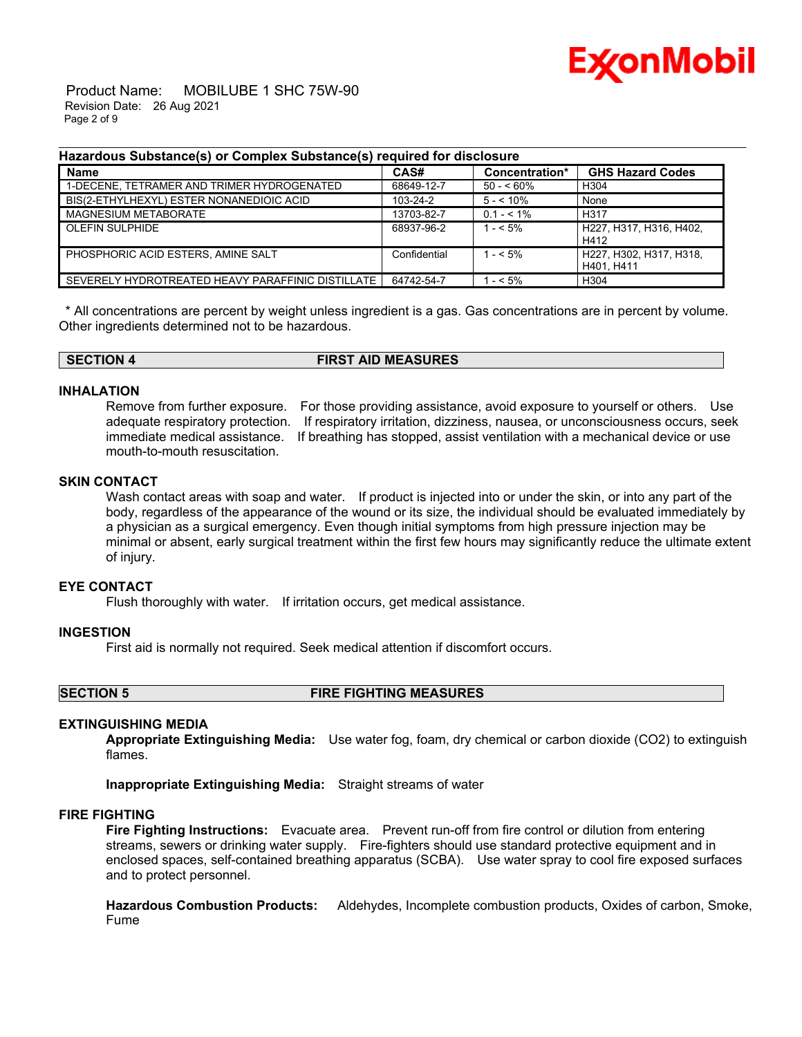

 Product Name: MOBILUBE 1 SHC 75W-90 Revision Date: 26 Aug 2021 Page 2 of 9

#### **Hazardous Substance(s) or Complex Substance(s) required for disclosure**

| <br><b>Name</b>                                   | CAS#         | Concentration* | <b>GHS Hazard Codes</b>               |
|---------------------------------------------------|--------------|----------------|---------------------------------------|
| 1-DECENE, TETRAMER AND TRIMER HYDROGENATED        | 68649-12-7   | $50 - 60\%$    | H304                                  |
| BIS(2-ETHYLHEXYL) ESTER NONANEDIOIC ACID          | 103-24-2     | $5 - 10\%$     | None                                  |
| MAGNESIUM METABORATE                              | 13703-82-7   | $0.1 - 5.1\%$  | H317                                  |
| <b>OLEFIN SULPHIDE</b>                            | 68937-96-2   | $1 - 5\%$      | H227. H317. H316. H402.<br>H412       |
| PHOSPHORIC ACID ESTERS. AMINE SALT                | Confidential | $1 - 5\%$      | H227, H302, H317, H318,<br>H401. H411 |
| SEVERELY HYDROTREATED HEAVY PARAFFINIC DISTILLATE | 64742-54-7   | $-5\%$         | H <sub>304</sub>                      |

\_\_\_\_\_\_\_\_\_\_\_\_\_\_\_\_\_\_\_\_\_\_\_\_\_\_\_\_\_\_\_\_\_\_\_\_\_\_\_\_\_\_\_\_\_\_\_\_\_\_\_\_\_\_\_\_\_\_\_\_\_\_\_\_\_\_\_\_\_\_\_\_\_\_\_\_\_\_\_\_\_\_\_\_\_\_\_\_\_\_\_\_\_\_\_\_\_\_\_\_\_\_\_\_\_\_\_\_\_\_\_\_\_\_\_\_\_\_

\* All concentrations are percent by weight unless ingredient is a gas. Gas concentrations are in percent by volume. Other ingredients determined not to be hazardous.

**SECTION 4 FIRST AID MEASURES**

#### **INHALATION**

mouth-to-mouth resuscitation.

Remove from further exposure. For those providing assistance, avoid exposure to yourself or others. Use adequate respiratory protection. If respiratory irritation, dizziness, nausea, or unconsciousness occurs, seek immediate medical assistance. If breathing has stopped, assist ventilation with a mechanical device or use

#### **SKIN CONTACT**

Wash contact areas with soap and water. If product is injected into or under the skin, or into any part of the body, regardless of the appearance of the wound or its size, the individual should be evaluated immediately by a physician as a surgical emergency. Even though initial symptoms from high pressure injection may be minimal or absent, early surgical treatment within the first few hours may significantly reduce the ultimate extent of injury.

#### **EYE CONTACT**

Flush thoroughly with water. If irritation occurs, get medical assistance.

#### **INGESTION**

First aid is normally not required. Seek medical attention if discomfort occurs.

**SECTION 5 FIRE FIGHTING MEASURES**

#### **EXTINGUISHING MEDIA**

**Appropriate Extinguishing Media:** Use water fog, foam, dry chemical or carbon dioxide (CO2) to extinguish flames.

**Inappropriate Extinguishing Media:** Straight streams of water

### **FIRE FIGHTING**

**Fire Fighting Instructions:** Evacuate area. Prevent run-off from fire control or dilution from entering streams, sewers or drinking water supply. Fire-fighters should use standard protective equipment and in enclosed spaces, self-contained breathing apparatus (SCBA). Use water spray to cool fire exposed surfaces and to protect personnel.

**Hazardous Combustion Products:** Aldehydes, Incomplete combustion products, Oxides of carbon, Smoke, Fume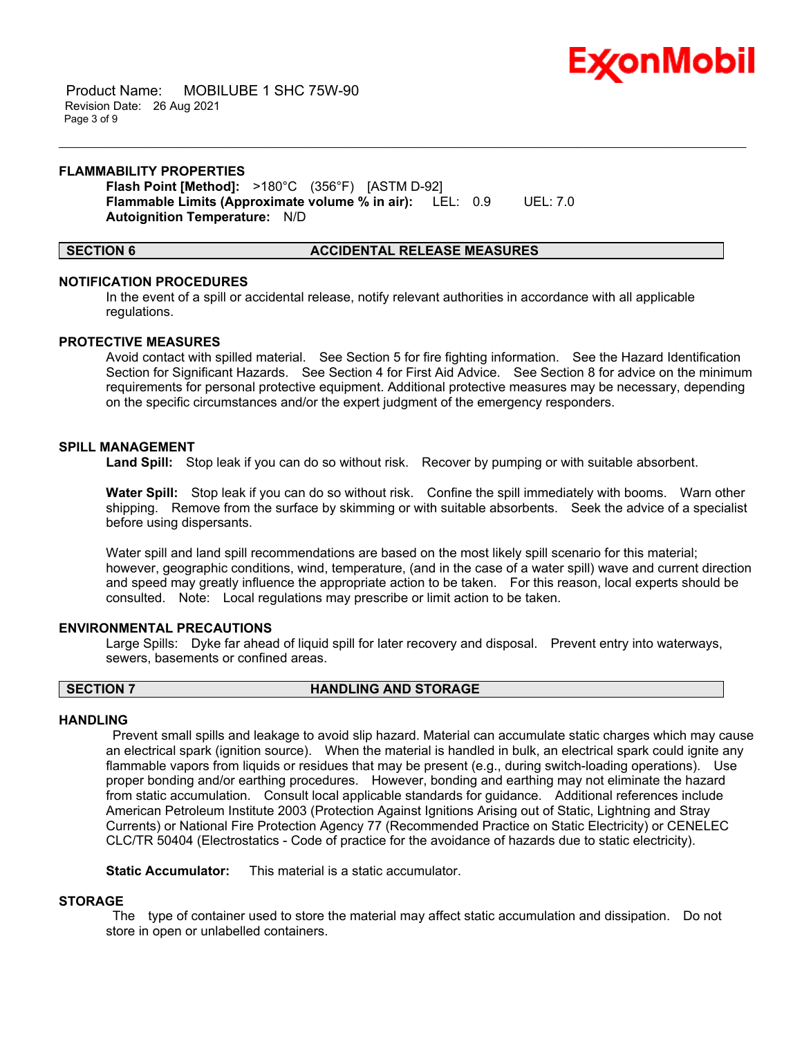

 Product Name: MOBILUBE 1 SHC 75W-90 Revision Date: 26 Aug 2021 Page 3 of 9

#### **FLAMMABILITY PROPERTIES**

**Flash Point [Method]:** >180°C (356°F) [ASTM D-92] **Flammable Limits (Approximate volume % in air):** LEL: 0.9 UEL: 7.0 **Autoignition Temperature:** N/D

#### **SECTION 6 ACCIDENTAL RELEASE MEASURES**

#### **NOTIFICATION PROCEDURES**

In the event of a spill or accidental release, notify relevant authorities in accordance with all applicable regulations.

\_\_\_\_\_\_\_\_\_\_\_\_\_\_\_\_\_\_\_\_\_\_\_\_\_\_\_\_\_\_\_\_\_\_\_\_\_\_\_\_\_\_\_\_\_\_\_\_\_\_\_\_\_\_\_\_\_\_\_\_\_\_\_\_\_\_\_\_\_\_\_\_\_\_\_\_\_\_\_\_\_\_\_\_\_\_\_\_\_\_\_\_\_\_\_\_\_\_\_\_\_\_\_\_\_\_\_\_\_\_\_\_\_\_\_\_\_\_

#### **PROTECTIVE MEASURES**

Avoid contact with spilled material. See Section 5 for fire fighting information. See the Hazard Identification Section for Significant Hazards. See Section 4 for First Aid Advice. See Section 8 for advice on the minimum requirements for personal protective equipment. Additional protective measures may be necessary, depending on the specific circumstances and/or the expert judgment of the emergency responders.

#### **SPILL MANAGEMENT**

**Land Spill:** Stop leak if you can do so without risk. Recover by pumping or with suitable absorbent.

**Water Spill:** Stop leak if you can do so without risk. Confine the spill immediately with booms. Warn other shipping. Remove from the surface by skimming or with suitable absorbents. Seek the advice of a specialist before using dispersants.

Water spill and land spill recommendations are based on the most likely spill scenario for this material; however, geographic conditions, wind, temperature, (and in the case of a water spill) wave and current direction and speed may greatly influence the appropriate action to be taken. For this reason, local experts should be consulted. Note: Local regulations may prescribe or limit action to be taken.

#### **ENVIRONMENTAL PRECAUTIONS**

Large Spills: Dyke far ahead of liquid spill for later recovery and disposal. Prevent entry into waterways, sewers, basements or confined areas.

#### **SECTION 7 HANDLING AND STORAGE**

#### **HANDLING**

Prevent small spills and leakage to avoid slip hazard. Material can accumulate static charges which may cause an electrical spark (ignition source). When the material is handled in bulk, an electrical spark could ignite any flammable vapors from liquids or residues that may be present (e.g., during switch-loading operations). Use proper bonding and/or earthing procedures. However, bonding and earthing may not eliminate the hazard from static accumulation. Consult local applicable standards for guidance. Additional references include American Petroleum Institute 2003 (Protection Against Ignitions Arising out of Static, Lightning and Stray Currents) or National Fire Protection Agency 77 (Recommended Practice on Static Electricity) or CENELEC CLC/TR 50404 (Electrostatics - Code of practice for the avoidance of hazards due to static electricity).

**Static Accumulator:** This material is a static accumulator.

#### **STORAGE**

The type of container used to store the material may affect static accumulation and dissipation. Do not store in open or unlabelled containers.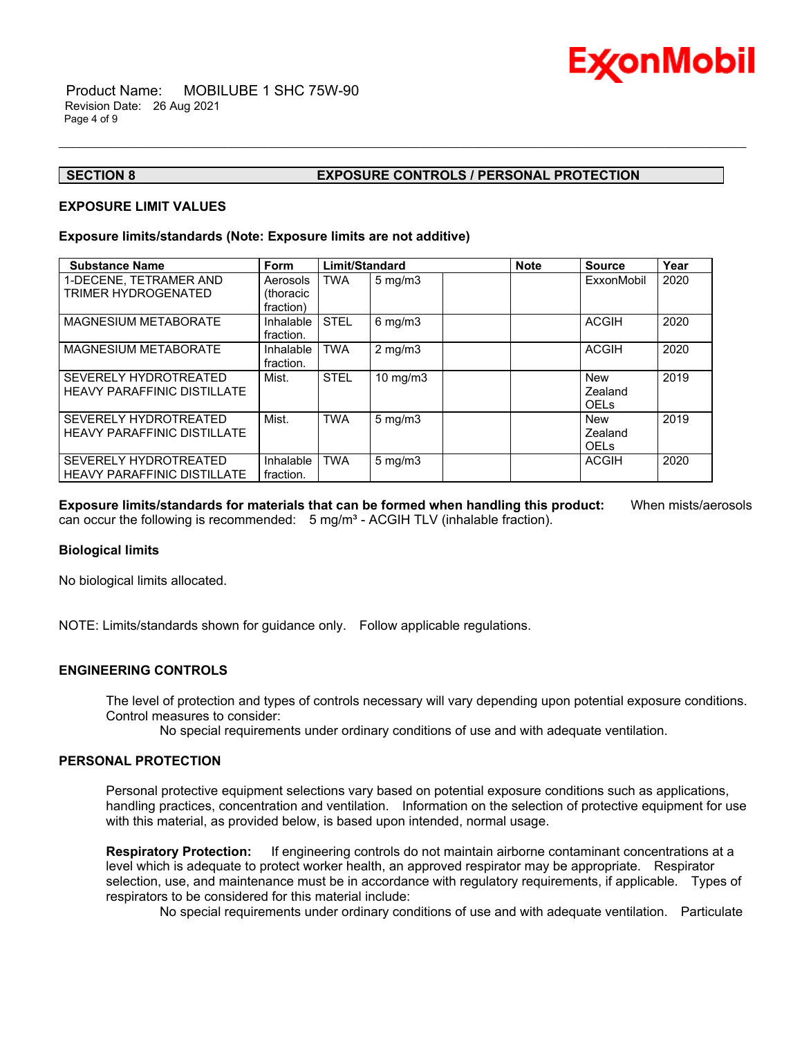

### **SECTION 8 EXPOSURE CONTROLS / PERSONAL PROTECTION**

#### **EXPOSURE LIMIT VALUES**

#### **Exposure limits/standards (Note: Exposure limits are not additive)**

| <b>Substance Name</b>                                              | <b>Form</b>                        | Limit/Standard |                    | <b>Note</b> | <b>Source</b>                        | Year |
|--------------------------------------------------------------------|------------------------------------|----------------|--------------------|-------------|--------------------------------------|------|
| 1-DECENE, TETRAMER AND<br><b>TRIMER HYDROGENATED</b>               | Aerosols<br>(thoracic<br>fraction) | <b>TWA</b>     | $5 \text{ mg/m}$   |             | ExxonMobil                           | 2020 |
| <b>MAGNESIUM METABORATE</b>                                        | Inhalable<br>fraction.             | <b>STEL</b>    | $6 \text{ mg/m}$ 3 |             | <b>ACGIH</b>                         | 2020 |
| <b>MAGNESIUM METABORATE</b>                                        | Inhalable<br>fraction.             | <b>TWA</b>     | $2 \text{ mg/m}$   |             | <b>ACGIH</b>                         | 2020 |
| SEVERELY HYDROTREATED<br><b>HEAVY PARAFFINIC DISTILLATE</b>        | Mist.                              | <b>STEL</b>    | $10 \text{ mg/m}$  |             | <b>New</b><br>Zealand<br><b>OELS</b> | 2019 |
| SEVERELY HYDROTREATED<br><b>HEAVY PARAFFINIC DISTILLATE</b>        | Mist.                              | <b>TWA</b>     | $5 \text{ mg/m}$   |             | <b>New</b><br>Zealand<br><b>OELS</b> | 2019 |
| <b>SEVERELY HYDROTREATED</b><br><b>HEAVY PARAFFINIC DISTILLATE</b> | Inhalable<br>fraction.             | <b>TWA</b>     | $5 \text{ mg/m}$   |             | <b>ACGIH</b>                         | 2020 |

\_\_\_\_\_\_\_\_\_\_\_\_\_\_\_\_\_\_\_\_\_\_\_\_\_\_\_\_\_\_\_\_\_\_\_\_\_\_\_\_\_\_\_\_\_\_\_\_\_\_\_\_\_\_\_\_\_\_\_\_\_\_\_\_\_\_\_\_\_\_\_\_\_\_\_\_\_\_\_\_\_\_\_\_\_\_\_\_\_\_\_\_\_\_\_\_\_\_\_\_\_\_\_\_\_\_\_\_\_\_\_\_\_\_\_\_\_\_

**Exposure limits/standards for materials that can be formed when handling this product:** When mists/aerosols can occur the following is recommended:  $5 \text{ mg/m}^3$  - ACGIH TLV (inhalable fraction).

#### **Biological limits**

No biological limits allocated.

NOTE: Limits/standards shown for guidance only. Follow applicable regulations.

#### **ENGINEERING CONTROLS**

The level of protection and types of controls necessary will vary depending upon potential exposure conditions. Control measures to consider:

No special requirements under ordinary conditions of use and with adequate ventilation.

#### **PERSONAL PROTECTION**

Personal protective equipment selections vary based on potential exposure conditions such as applications, handling practices, concentration and ventilation. Information on the selection of protective equipment for use with this material, as provided below, is based upon intended, normal usage.

**Respiratory Protection:** If engineering controls do not maintain airborne contaminant concentrations at a level which is adequate to protect worker health, an approved respirator may be appropriate. Respirator selection, use, and maintenance must be in accordance with regulatory requirements, if applicable. Types of respirators to be considered for this material include:

No special requirements under ordinary conditions of use and with adequate ventilation. Particulate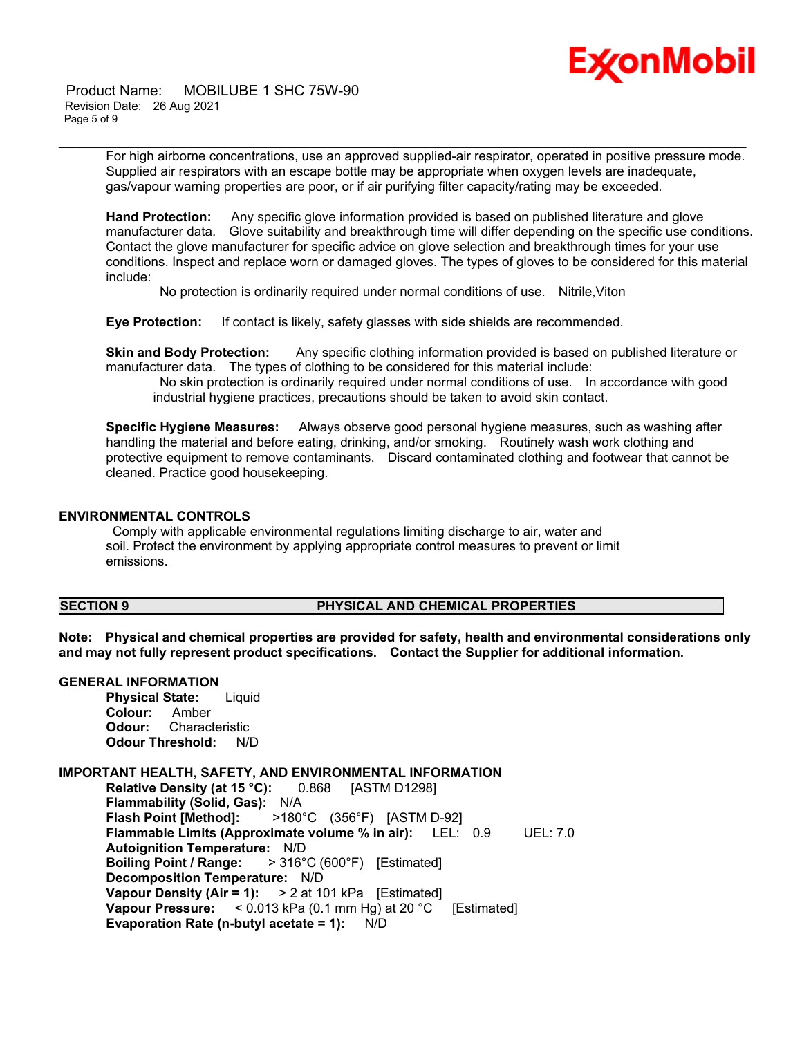

 Product Name: MOBILUBE 1 SHC 75W-90 Revision Date: 26 Aug 2021 Page 5 of 9

> For high airborne concentrations, use an approved supplied-air respirator, operated in positive pressure mode. Supplied air respirators with an escape bottle may be appropriate when oxygen levels are inadequate, gas/vapour warning properties are poor, or if air purifying filter capacity/rating may be exceeded.

\_\_\_\_\_\_\_\_\_\_\_\_\_\_\_\_\_\_\_\_\_\_\_\_\_\_\_\_\_\_\_\_\_\_\_\_\_\_\_\_\_\_\_\_\_\_\_\_\_\_\_\_\_\_\_\_\_\_\_\_\_\_\_\_\_\_\_\_\_\_\_\_\_\_\_\_\_\_\_\_\_\_\_\_\_\_\_\_\_\_\_\_\_\_\_\_\_\_\_\_\_\_\_\_\_\_\_\_\_\_\_\_\_\_\_\_\_\_

**Hand Protection:** Any specific glove information provided is based on published literature and glove manufacturer data. Glove suitability and breakthrough time will differ depending on the specific use conditions. Contact the glove manufacturer for specific advice on glove selection and breakthrough times for your use conditions. Inspect and replace worn or damaged gloves. The types of gloves to be considered for this material include:

No protection is ordinarily required under normal conditions of use. Nitrile,Viton

**Eye Protection:** If contact is likely, safety glasses with side shields are recommended.

**Skin and Body Protection:** Any specific clothing information provided is based on published literature or manufacturer data. The types of clothing to be considered for this material include:

No skin protection is ordinarily required under normal conditions of use. In accordance with good industrial hygiene practices, precautions should be taken to avoid skin contact.

**Specific Hygiene Measures:** Always observe good personal hygiene measures, such as washing after handling the material and before eating, drinking, and/or smoking. Routinely wash work clothing and protective equipment to remove contaminants. Discard contaminated clothing and footwear that cannot be cleaned. Practice good housekeeping.

#### **ENVIRONMENTAL CONTROLS**

Comply with applicable environmental regulations limiting discharge to air, water and soil. Protect the environment by applying appropriate control measures to prevent or limit emissions.

### **SECTION 9 PHYSICAL AND CHEMICAL PROPERTIES**

**Note: Physical and chemical properties are provided for safety, health and environmental considerations only and may not fully represent product specifications. Contact the Supplier for additional information.**

#### **GENERAL INFORMATION**

**Physical State:** Liquid **Colour:** Amber **Odour:** Characteristic **Odour Threshold:** N/D

#### **IMPORTANT HEALTH, SAFETY, AND ENVIRONMENTAL INFORMATION**

**Relative Density (at 15 °C):** 0.868 [ASTM D1298] **Flammability (Solid, Gas):** N/A **Flash Point [Method]:** >180°C (356°F) [ASTM D-92] **Flammable Limits (Approximate volume % in air):** LEL: 0.9 UEL: 7.0 **Autoignition Temperature:** N/D **Boiling Point / Range:** > 316°C (600°F) [Estimated] **Decomposition Temperature:** N/D **Vapour Density (Air = 1):** > 2 at 101 kPa [Estimated] **Vapour Pressure:** < 0.013 kPa (0.1 mm Hg) at 20 °C [Estimated] **Evaporation Rate (n-butyl acetate = 1):** N/D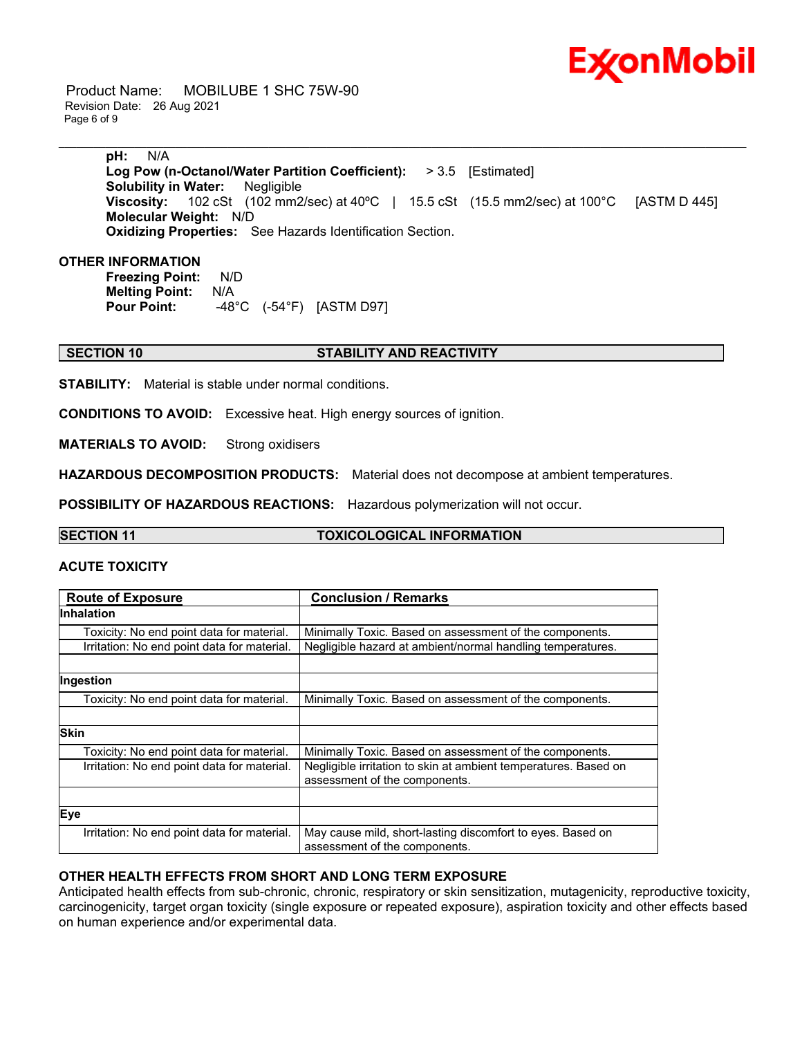

 Product Name: MOBILUBE 1 SHC 75W-90 Revision Date: 26 Aug 2021 Page 6 of 9

> **pH:** N/A **Log Pow (n-Octanol/Water Partition Coefficient):** > 3.5 [Estimated] **Solubility in Water:** Negligible **Viscosity:** 102 cSt (102 mm2/sec) at 40ºC | 15.5 cSt (15.5 mm2/sec) at 100°C [ASTM D 445] **Molecular Weight:** N/D **Oxidizing Properties:** See Hazards Identification Section.

\_\_\_\_\_\_\_\_\_\_\_\_\_\_\_\_\_\_\_\_\_\_\_\_\_\_\_\_\_\_\_\_\_\_\_\_\_\_\_\_\_\_\_\_\_\_\_\_\_\_\_\_\_\_\_\_\_\_\_\_\_\_\_\_\_\_\_\_\_\_\_\_\_\_\_\_\_\_\_\_\_\_\_\_\_\_\_\_\_\_\_\_\_\_\_\_\_\_\_\_\_\_\_\_\_\_\_\_\_\_\_\_\_\_\_\_\_\_

#### **OTHER INFORMATION**

**Freezing Point:** N/D **Melting Point: N/A<br>Pour Point: 48 Pour Point:** -48°C (-54°F) [ASTM D97]

#### **SECTION 10 STABILITY AND REACTIVITY**

**STABILITY:** Material is stable under normal conditions.

**CONDITIONS TO AVOID:** Excessive heat. High energy sources of ignition.

**MATERIALS TO AVOID:** Strong oxidisers

**HAZARDOUS DECOMPOSITION PRODUCTS:** Material does not decompose at ambient temperatures.

**POSSIBILITY OF HAZARDOUS REACTIONS:** Hazardous polymerization will not occur.

**SECTION 11 TOXICOLOGICAL INFORMATION**

#### **ACUTE TOXICITY**

| <b>Route of Exposure</b>                    | <b>Conclusion / Remarks</b>                                                                      |
|---------------------------------------------|--------------------------------------------------------------------------------------------------|
| <b>Inhalation</b>                           |                                                                                                  |
| Toxicity: No end point data for material.   | Minimally Toxic. Based on assessment of the components.                                          |
| Irritation: No end point data for material. | Negligible hazard at ambient/normal handling temperatures.                                       |
|                                             |                                                                                                  |
| Ingestion                                   |                                                                                                  |
| Toxicity: No end point data for material.   | Minimally Toxic. Based on assessment of the components.                                          |
|                                             |                                                                                                  |
| <b>Skin</b>                                 |                                                                                                  |
| Toxicity: No end point data for material.   | Minimally Toxic. Based on assessment of the components.                                          |
| Irritation: No end point data for material. | Negligible irritation to skin at ambient temperatures. Based on<br>assessment of the components. |
|                                             |                                                                                                  |
| Eye                                         |                                                                                                  |
| Irritation: No end point data for material. | May cause mild, short-lasting discomfort to eyes. Based on<br>assessment of the components.      |

#### **OTHER HEALTH EFFECTS FROM SHORT AND LONG TERM EXPOSURE**

Anticipated health effects from sub-chronic, chronic, respiratory or skin sensitization, mutagenicity, reproductive toxicity, carcinogenicity, target organ toxicity (single exposure or repeated exposure), aspiration toxicity and other effects based on human experience and/or experimental data.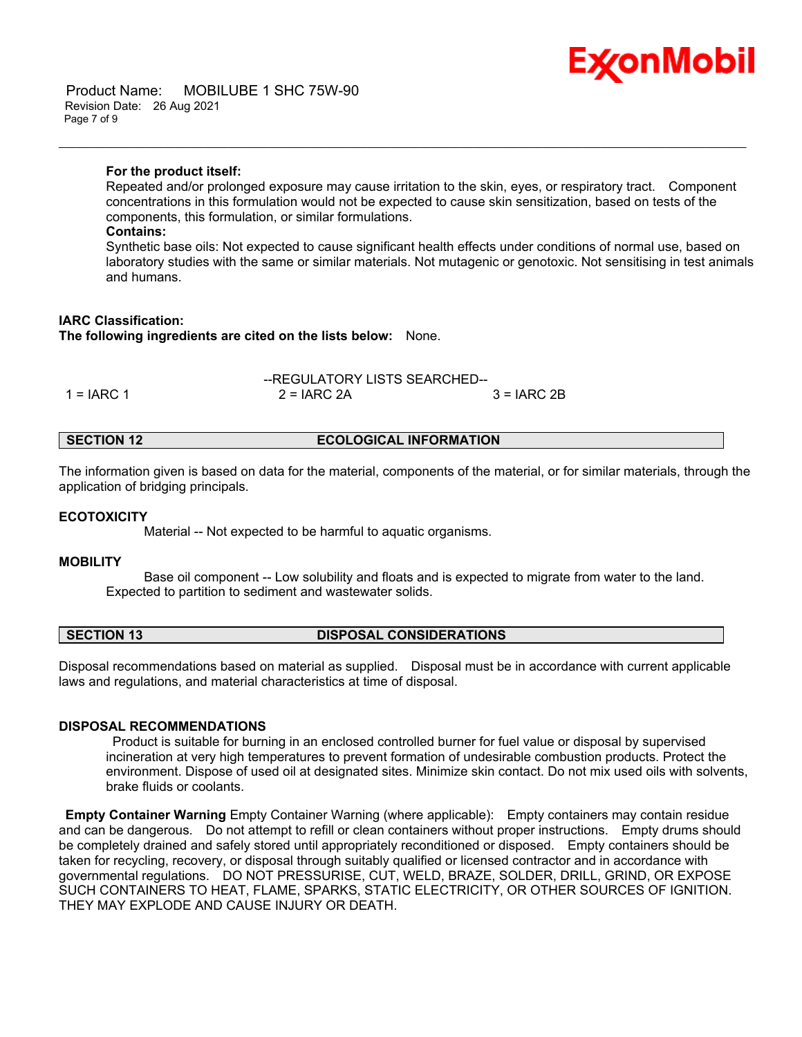#### Product Name: MOBILUBE 1 SHC 75W-90 Revision Date: 26 Aug 2021 Page 7 of 9

# Ex⁄onMobil

### **For the product itself:**

Repeated and/or prolonged exposure may cause irritation to the skin, eyes, or respiratory tract. Component concentrations in this formulation would not be expected to cause skin sensitization, based on tests of the components, this formulation, or similar formulations.

\_\_\_\_\_\_\_\_\_\_\_\_\_\_\_\_\_\_\_\_\_\_\_\_\_\_\_\_\_\_\_\_\_\_\_\_\_\_\_\_\_\_\_\_\_\_\_\_\_\_\_\_\_\_\_\_\_\_\_\_\_\_\_\_\_\_\_\_\_\_\_\_\_\_\_\_\_\_\_\_\_\_\_\_\_\_\_\_\_\_\_\_\_\_\_\_\_\_\_\_\_\_\_\_\_\_\_\_\_\_\_\_\_\_\_\_\_\_

#### **Contains:**

Synthetic base oils: Not expected to cause significant health effects under conditions of normal use, based on laboratory studies with the same or similar materials. Not mutagenic or genotoxic. Not sensitising in test animals and humans.

### **IARC Classification:**

**The following ingredients are cited on the lists below:** None.

|              | --REGULATORY LISTS SEARCHED-- |              |
|--------------|-------------------------------|--------------|
| 1 = $IARC 1$ | $2 = IARC 2A$                 | $3 = IARC2B$ |

#### **SECTION 12 ECOLOGICAL INFORMATION**

The information given is based on data for the material, components of the material, or for similar materials, through the application of bridging principals.

#### **ECOTOXICITY**

Material -- Not expected to be harmful to aquatic organisms.

#### **MOBILITY**

 Base oil component -- Low solubility and floats and is expected to migrate from water to the land. Expected to partition to sediment and wastewater solids.

#### **SECTION 13 DISPOSAL CONSIDERATIONS**

Disposal recommendations based on material as supplied. Disposal must be in accordance with current applicable laws and regulations, and material characteristics at time of disposal.

#### **DISPOSAL RECOMMENDATIONS**

Product is suitable for burning in an enclosed controlled burner for fuel value or disposal by supervised incineration at very high temperatures to prevent formation of undesirable combustion products. Protect the environment. Dispose of used oil at designated sites. Minimize skin contact. Do not mix used oils with solvents, brake fluids or coolants.

**Empty Container Warning** Empty Container Warning (where applicable): Empty containers may contain residue and can be dangerous. Do not attempt to refill or clean containers without proper instructions. Empty drums should be completely drained and safely stored until appropriately reconditioned or disposed. Empty containers should be taken for recycling, recovery, or disposal through suitably qualified or licensed contractor and in accordance with governmental regulations. DO NOT PRESSURISE, CUT, WELD, BRAZE, SOLDER, DRILL, GRIND, OR EXPOSE SUCH CONTAINERS TO HEAT, FLAME, SPARKS, STATIC ELECTRICITY, OR OTHER SOURCES OF IGNITION. THEY MAY EXPLODE AND CAUSE INJURY OR DEATH.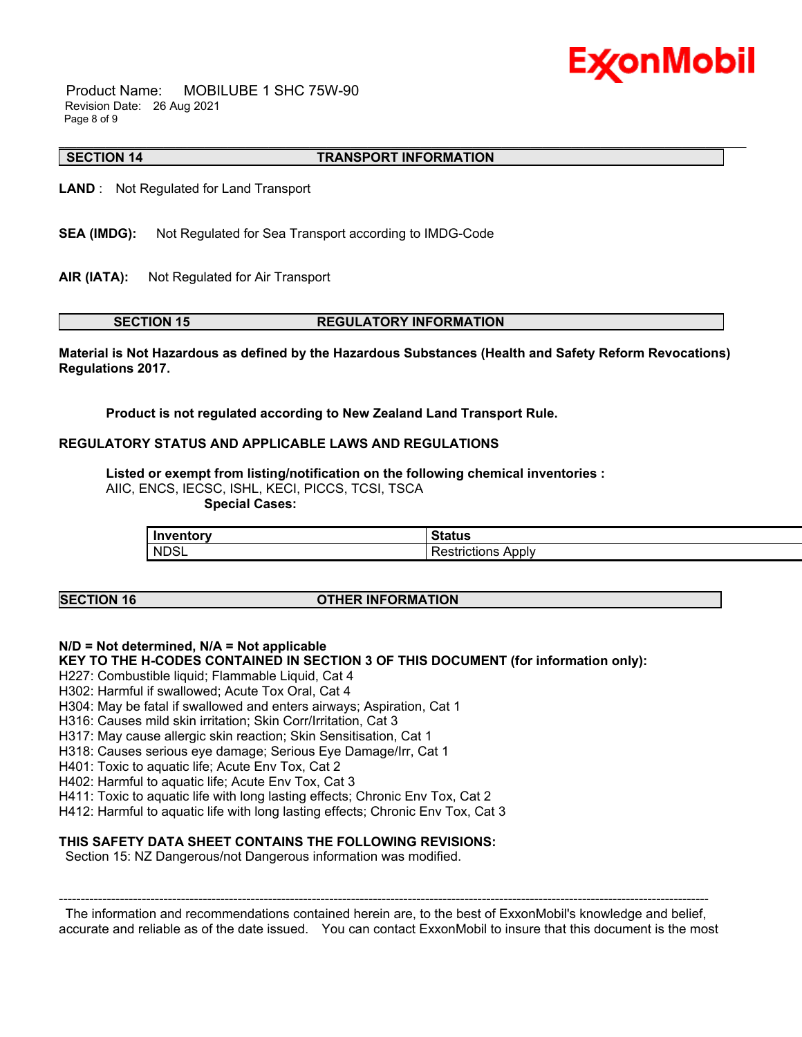## Ex⁄onMobil

 Product Name: MOBILUBE 1 SHC 75W-90 Revision Date: 26 Aug 2021 Page 8 of 9

#### \_\_\_\_\_\_\_\_\_\_\_\_\_\_\_\_\_\_\_\_\_\_\_\_\_\_\_\_\_\_\_\_\_\_\_\_\_\_\_\_\_\_\_\_\_\_\_\_\_\_\_\_\_\_\_\_\_\_\_\_\_\_\_\_\_\_\_\_\_\_\_\_\_\_\_\_\_\_\_\_\_\_\_\_\_\_\_\_\_\_\_\_\_\_\_\_\_\_\_\_\_\_\_\_\_\_\_\_\_\_\_\_\_\_\_\_\_\_ **SECTION 14 TRANSPORT INFORMATION**

**LAND** : Not Regulated for Land Transport

- **SEA (IMDG):** Not Regulated for Sea Transport according to IMDG-Code
- **AIR (IATA):** Not Regulated for Air Transport

#### **SECTION 15 REGULATORY INFORMATION**

**Material is Not Hazardous as defined by the Hazardous Substances (Health and Safety Reform Revocations) Regulations 2017.**

**Product is not regulated according to New Zealand Land Transport Rule.**

### **REGULATORY STATUS AND APPLICABLE LAWS AND REGULATIONS**

**Listed or exempt from listing/notification on the following chemical inventories :** 

AIIC, ENCS, IECSC, ISHL, KECI, PICCS, TCSI, TSCA

 **Special Cases:**

| <u>Invontory</u> | n.                                    |
|------------------|---------------------------------------|
| - 11             | ----                                  |
|                  | aua                                   |
| <b>NDSL</b>      | .<br>.<br>.<br>ADDIV<br>יייווטווטוו⊳∵ |

### **SECTION 16 OTHER INFORMATION**

**N/D = Not determined, N/A = Not applicable**

**KEY TO THE H-CODES CONTAINED IN SECTION 3 OF THIS DOCUMENT (for information only):**

H227: Combustible liquid; Flammable Liquid, Cat 4

H302: Harmful if swallowed; Acute Tox Oral, Cat 4

H304: May be fatal if swallowed and enters airways; Aspiration, Cat 1

H316: Causes mild skin irritation; Skin Corr/Irritation, Cat 3

H317: May cause allergic skin reaction; Skin Sensitisation, Cat 1

H318: Causes serious eye damage; Serious Eye Damage/Irr, Cat 1

H401: Toxic to aquatic life; Acute Env Tox, Cat 2

H402: Harmful to aquatic life; Acute Env Tox, Cat 3

H411: Toxic to aquatic life with long lasting effects; Chronic Env Tox, Cat 2

H412: Harmful to aquatic life with long lasting effects; Chronic Env Tox, Cat 3

### **THIS SAFETY DATA SHEET CONTAINS THE FOLLOWING REVISIONS:**

Section 15: NZ Dangerous/not Dangerous information was modified.

----------------------------------------------------------------------------------------------------------------------------------------------------- The information and recommendations contained herein are, to the best of ExxonMobil's knowledge and belief, accurate and reliable as of the date issued. You can contact ExxonMobil to insure that this document is the most